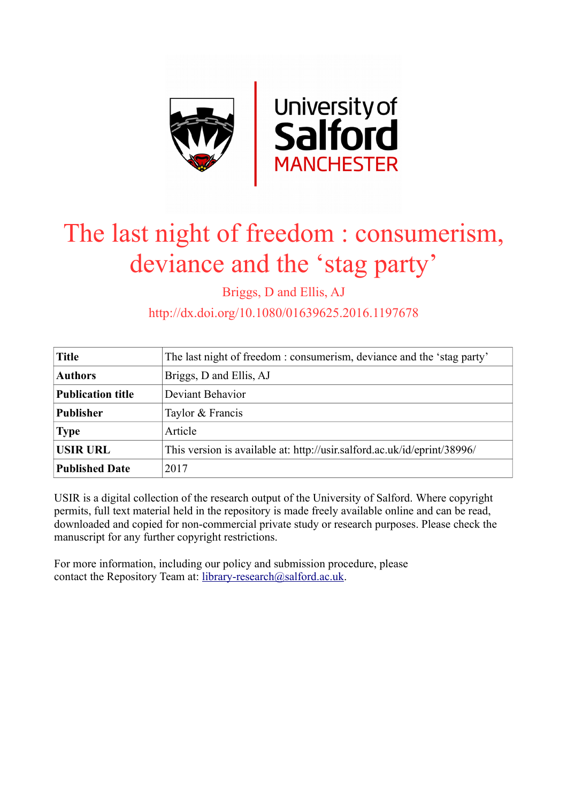

# The last night of freedom : consumerism, deviance and the 'stag party'

Briggs, D and Ellis, AJ

http://dx.doi.org/10.1080/01639625.2016.1197678

| <b>Title</b>             | The last night of freedom: consumerism, deviance and the 'stag party'    |
|--------------------------|--------------------------------------------------------------------------|
| <b>Authors</b>           | Briggs, D and Ellis, AJ                                                  |
| <b>Publication title</b> | Deviant Behavior                                                         |
| <b>Publisher</b>         | Taylor & Francis                                                         |
| <b>Type</b>              | Article                                                                  |
| <b>USIR URL</b>          | This version is available at: http://usir.salford.ac.uk/id/eprint/38996/ |
| <b>Published Date</b>    | 2017                                                                     |

USIR is a digital collection of the research output of the University of Salford. Where copyright permits, full text material held in the repository is made freely available online and can be read, downloaded and copied for non-commercial private study or research purposes. Please check the manuscript for any further copyright restrictions.

For more information, including our policy and submission procedure, please contact the Repository Team at: [library-research@salford.ac.uk.](mailto:library-research@salford.ac.uk)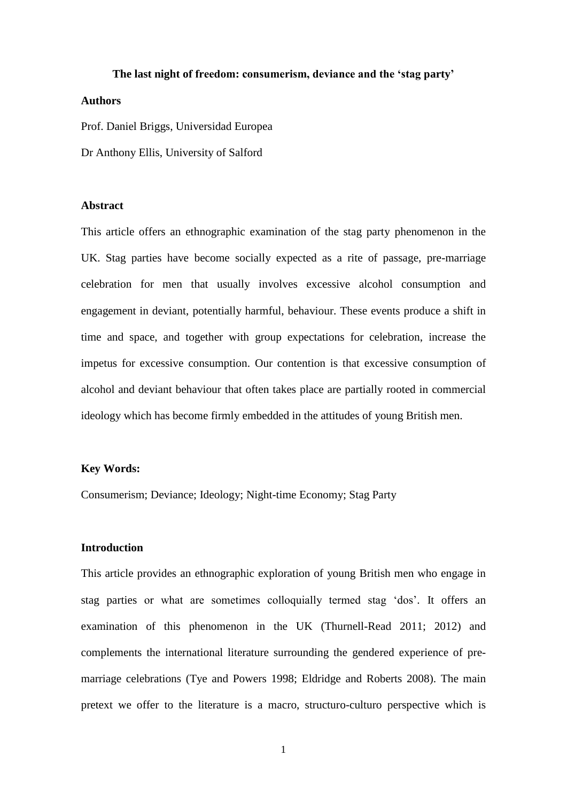#### **The last night of freedom: consumerism, deviance and the 'stag party'**

# **Authors**

Prof. Daniel Briggs, Universidad Europea

Dr Anthony Ellis, University of Salford

### **Abstract**

This article offers an ethnographic examination of the stag party phenomenon in the UK. Stag parties have become socially expected as a rite of passage, pre-marriage celebration for men that usually involves excessive alcohol consumption and engagement in deviant, potentially harmful, behaviour. These events produce a shift in time and space, and together with group expectations for celebration, increase the impetus for excessive consumption. Our contention is that excessive consumption of alcohol and deviant behaviour that often takes place are partially rooted in commercial ideology which has become firmly embedded in the attitudes of young British men.

### **Key Words:**

Consumerism; Deviance; Ideology; Night-time Economy; Stag Party

## **Introduction**

This article provides an ethnographic exploration of young British men who engage in stag parties or what are sometimes colloquially termed stag 'dos'. It offers an examination of this phenomenon in the UK (Thurnell-Read 2011; 2012) and complements the international literature surrounding the gendered experience of premarriage celebrations (Tye and Powers 1998; Eldridge and Roberts 2008). The main pretext we offer to the literature is a macro, structuro-culturo perspective which is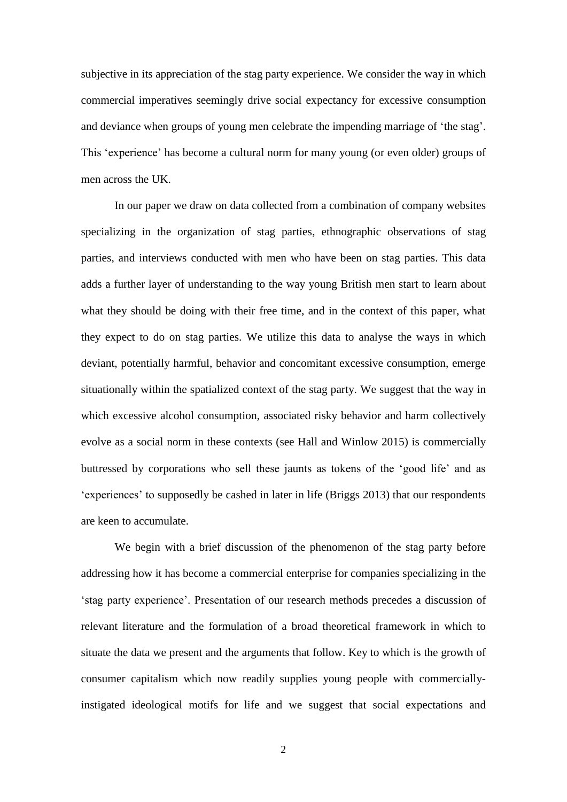subjective in its appreciation of the stag party experience. We consider the way in which commercial imperatives seemingly drive social expectancy for excessive consumption and deviance when groups of young men celebrate the impending marriage of 'the stag'. This 'experience' has become a cultural norm for many young (or even older) groups of men across the UK.

In our paper we draw on data collected from a combination of company websites specializing in the organization of stag parties, ethnographic observations of stag parties, and interviews conducted with men who have been on stag parties. This data adds a further layer of understanding to the way young British men start to learn about what they should be doing with their free time, and in the context of this paper, what they expect to do on stag parties. We utilize this data to analyse the ways in which deviant, potentially harmful, behavior and concomitant excessive consumption, emerge situationally within the spatialized context of the stag party. We suggest that the way in which excessive alcohol consumption, associated risky behavior and harm collectively evolve as a social norm in these contexts (see Hall and Winlow 2015) is commercially buttressed by corporations who sell these jaunts as tokens of the 'good life' and as 'experiences' to supposedly be cashed in later in life (Briggs 2013) that our respondents are keen to accumulate.

We begin with a brief discussion of the phenomenon of the stag party before addressing how it has become a commercial enterprise for companies specializing in the 'stag party experience'. Presentation of our research methods precedes a discussion of relevant literature and the formulation of a broad theoretical framework in which to situate the data we present and the arguments that follow. Key to which is the growth of consumer capitalism which now readily supplies young people with commerciallyinstigated ideological motifs for life and we suggest that social expectations and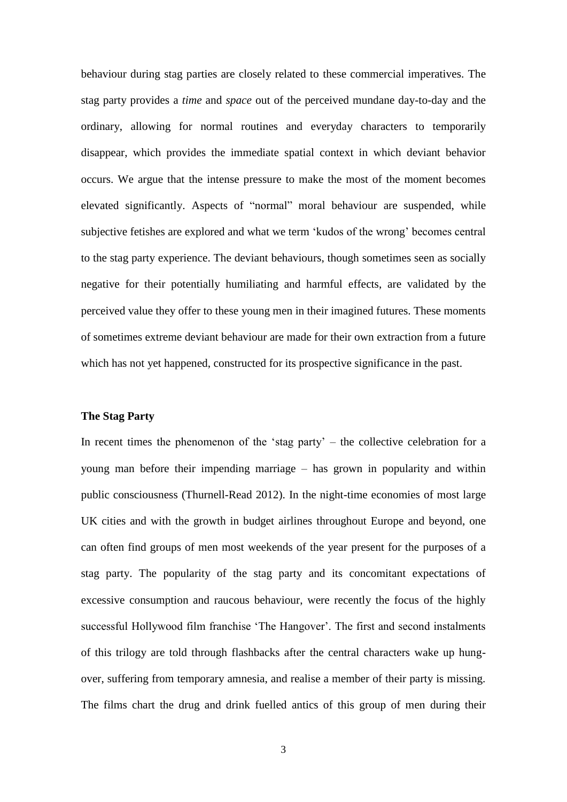behaviour during stag parties are closely related to these commercial imperatives. The stag party provides a *time* and *space* out of the perceived mundane day-to-day and the ordinary, allowing for normal routines and everyday characters to temporarily disappear, which provides the immediate spatial context in which deviant behavior occurs. We argue that the intense pressure to make the most of the moment becomes elevated significantly. Aspects of "normal" moral behaviour are suspended, while subjective fetishes are explored and what we term 'kudos of the wrong' becomes central to the stag party experience. The deviant behaviours, though sometimes seen as socially negative for their potentially humiliating and harmful effects, are validated by the perceived value they offer to these young men in their imagined futures. These moments of sometimes extreme deviant behaviour are made for their own extraction from a future which has not yet happened, constructed for its prospective significance in the past.

### **The Stag Party**

In recent times the phenomenon of the 'stag party' – the collective celebration for a young man before their impending marriage – has grown in popularity and within public consciousness (Thurnell-Read 2012). In the night-time economies of most large UK cities and with the growth in budget airlines throughout Europe and beyond, one can often find groups of men most weekends of the year present for the purposes of a stag party. The popularity of the stag party and its concomitant expectations of excessive consumption and raucous behaviour, were recently the focus of the highly successful Hollywood film franchise 'The Hangover'. The first and second instalments of this trilogy are told through flashbacks after the central characters wake up hungover, suffering from temporary amnesia, and realise a member of their party is missing. The films chart the drug and drink fuelled antics of this group of men during their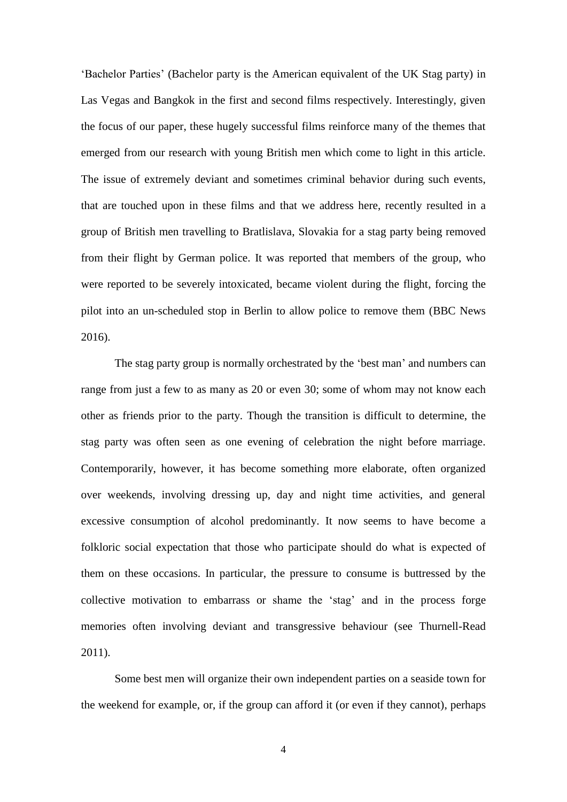'Bachelor Parties' (Bachelor party is the American equivalent of the UK Stag party) in Las Vegas and Bangkok in the first and second films respectively. Interestingly, given the focus of our paper, these hugely successful films reinforce many of the themes that emerged from our research with young British men which come to light in this article. The issue of extremely deviant and sometimes criminal behavior during such events, that are touched upon in these films and that we address here, recently resulted in a group of British men travelling to Bratlislava, Slovakia for a stag party being removed from their flight by German police. It was reported that members of the group, who were reported to be severely intoxicated, became violent during the flight, forcing the pilot into an un-scheduled stop in Berlin to allow police to remove them (BBC News 2016).

The stag party group is normally orchestrated by the 'best man' and numbers can range from just a few to as many as 20 or even 30; some of whom may not know each other as friends prior to the party. Though the transition is difficult to determine, the stag party was often seen as one evening of celebration the night before marriage. Contemporarily, however, it has become something more elaborate, often organized over weekends, involving dressing up, day and night time activities, and general excessive consumption of alcohol predominantly. It now seems to have become a folkloric social expectation that those who participate should do what is expected of them on these occasions. In particular, the pressure to consume is buttressed by the collective motivation to embarrass or shame the 'stag' and in the process forge memories often involving deviant and transgressive behaviour (see Thurnell-Read 2011).

Some best men will organize their own independent parties on a seaside town for the weekend for example, or, if the group can afford it (or even if they cannot), perhaps

4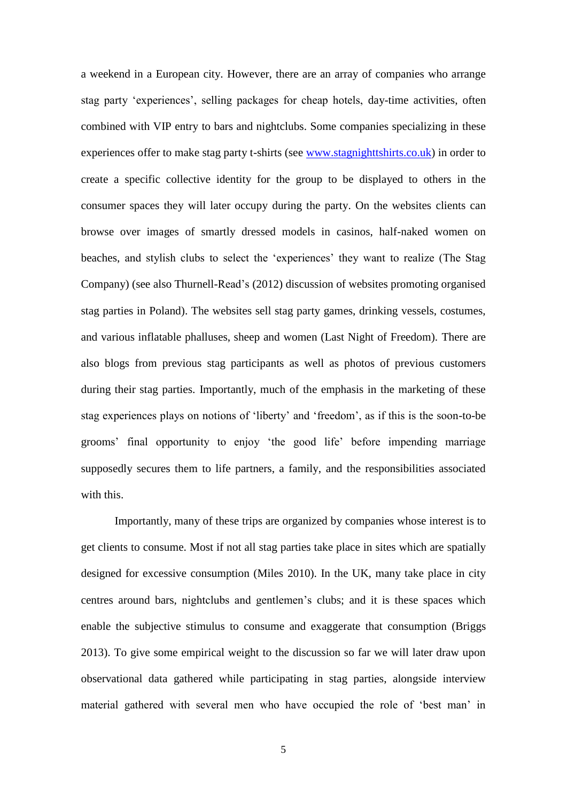a weekend in a European city. However, there are an array of companies who arrange stag party 'experiences', selling packages for cheap hotels, day-time activities, often combined with VIP entry to bars and nightclubs. Some companies specializing in these experiences offer to make stag party t-shirts (see [www.stagnighttshirts.co.uk\)](http://www.stagnighttshirts.co.uk/) in order to create a specific collective identity for the group to be displayed to others in the consumer spaces they will later occupy during the party. On the websites clients can browse over images of smartly dressed models in casinos, half-naked women on beaches, and stylish clubs to select the 'experiences' they want to realize (The Stag Company) (see also Thurnell-Read's (2012) discussion of websites promoting organised stag parties in Poland). The websites sell stag party games, drinking vessels, costumes, and various inflatable phalluses, sheep and women (Last Night of Freedom). There are also blogs from previous stag participants as well as photos of previous customers during their stag parties. Importantly, much of the emphasis in the marketing of these stag experiences plays on notions of 'liberty' and 'freedom', as if this is the soon-to-be grooms' final opportunity to enjoy 'the good life' before impending marriage supposedly secures them to life partners, a family, and the responsibilities associated with this.

Importantly, many of these trips are organized by companies whose interest is to get clients to consume. Most if not all stag parties take place in sites which are spatially designed for excessive consumption (Miles 2010). In the UK, many take place in city centres around bars, nightclubs and gentlemen's clubs; and it is these spaces which enable the subjective stimulus to consume and exaggerate that consumption (Briggs 2013). To give some empirical weight to the discussion so far we will later draw upon observational data gathered while participating in stag parties, alongside interview material gathered with several men who have occupied the role of 'best man' in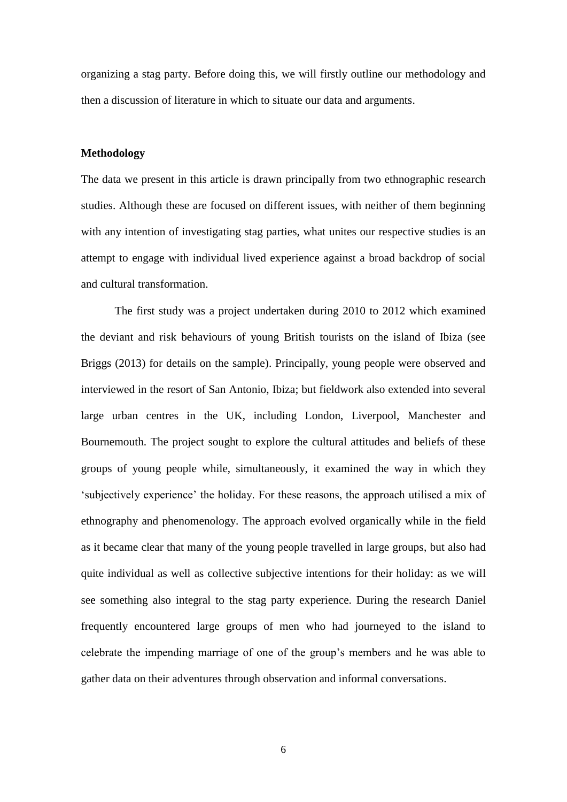organizing a stag party. Before doing this, we will firstly outline our methodology and then a discussion of literature in which to situate our data and arguments.

# **Methodology**

The data we present in this article is drawn principally from two ethnographic research studies. Although these are focused on different issues, with neither of them beginning with any intention of investigating stag parties, what unites our respective studies is an attempt to engage with individual lived experience against a broad backdrop of social and cultural transformation.

The first study was a project undertaken during 2010 to 2012 which examined the deviant and risk behaviours of young British tourists on the island of Ibiza (see Briggs (2013) for details on the sample). Principally, young people were observed and interviewed in the resort of San Antonio, Ibiza; but fieldwork also extended into several large urban centres in the UK, including London, Liverpool, Manchester and Bournemouth. The project sought to explore the cultural attitudes and beliefs of these groups of young people while, simultaneously, it examined the way in which they 'subjectively experience' the holiday. For these reasons, the approach utilised a mix of ethnography and phenomenology. The approach evolved organically while in the field as it became clear that many of the young people travelled in large groups, but also had quite individual as well as collective subjective intentions for their holiday: as we will see something also integral to the stag party experience. During the research Daniel frequently encountered large groups of men who had journeyed to the island to celebrate the impending marriage of one of the group's members and he was able to gather data on their adventures through observation and informal conversations.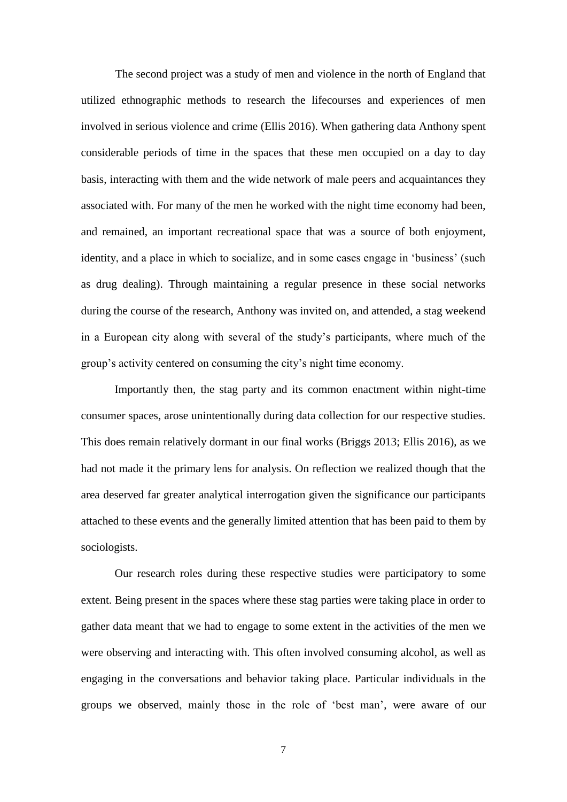The second project was a study of men and violence in the north of England that utilized ethnographic methods to research the lifecourses and experiences of men involved in serious violence and crime (Ellis 2016). When gathering data Anthony spent considerable periods of time in the spaces that these men occupied on a day to day basis, interacting with them and the wide network of male peers and acquaintances they associated with. For many of the men he worked with the night time economy had been, and remained, an important recreational space that was a source of both enjoyment, identity, and a place in which to socialize, and in some cases engage in 'business' (such as drug dealing). Through maintaining a regular presence in these social networks during the course of the research, Anthony was invited on, and attended, a stag weekend in a European city along with several of the study's participants, where much of the group's activity centered on consuming the city's night time economy.

Importantly then, the stag party and its common enactment within night-time consumer spaces, arose unintentionally during data collection for our respective studies. This does remain relatively dormant in our final works (Briggs 2013; Ellis 2016), as we had not made it the primary lens for analysis. On reflection we realized though that the area deserved far greater analytical interrogation given the significance our participants attached to these events and the generally limited attention that has been paid to them by sociologists.

Our research roles during these respective studies were participatory to some extent. Being present in the spaces where these stag parties were taking place in order to gather data meant that we had to engage to some extent in the activities of the men we were observing and interacting with. This often involved consuming alcohol, as well as engaging in the conversations and behavior taking place. Particular individuals in the groups we observed, mainly those in the role of 'best man', were aware of our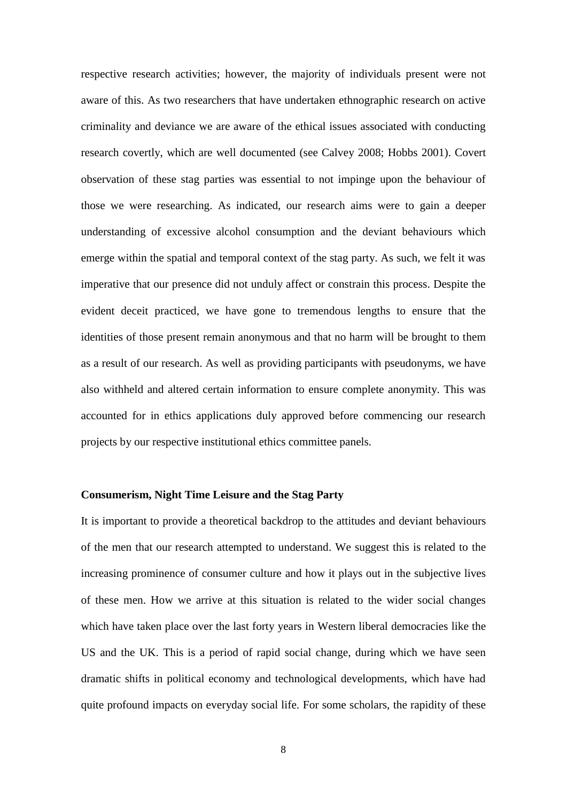respective research activities; however, the majority of individuals present were not aware of this. As two researchers that have undertaken ethnographic research on active criminality and deviance we are aware of the ethical issues associated with conducting research covertly, which are well documented (see Calvey 2008; Hobbs 2001). Covert observation of these stag parties was essential to not impinge upon the behaviour of those we were researching. As indicated, our research aims were to gain a deeper understanding of excessive alcohol consumption and the deviant behaviours which emerge within the spatial and temporal context of the stag party. As such, we felt it was imperative that our presence did not unduly affect or constrain this process. Despite the evident deceit practiced, we have gone to tremendous lengths to ensure that the identities of those present remain anonymous and that no harm will be brought to them as a result of our research. As well as providing participants with pseudonyms, we have also withheld and altered certain information to ensure complete anonymity. This was accounted for in ethics applications duly approved before commencing our research projects by our respective institutional ethics committee panels.

## **Consumerism, Night Time Leisure and the Stag Party**

It is important to provide a theoretical backdrop to the attitudes and deviant behaviours of the men that our research attempted to understand. We suggest this is related to the increasing prominence of consumer culture and how it plays out in the subjective lives of these men. How we arrive at this situation is related to the wider social changes which have taken place over the last forty years in Western liberal democracies like the US and the UK. This is a period of rapid social change, during which we have seen dramatic shifts in political economy and technological developments, which have had quite profound impacts on everyday social life. For some scholars, the rapidity of these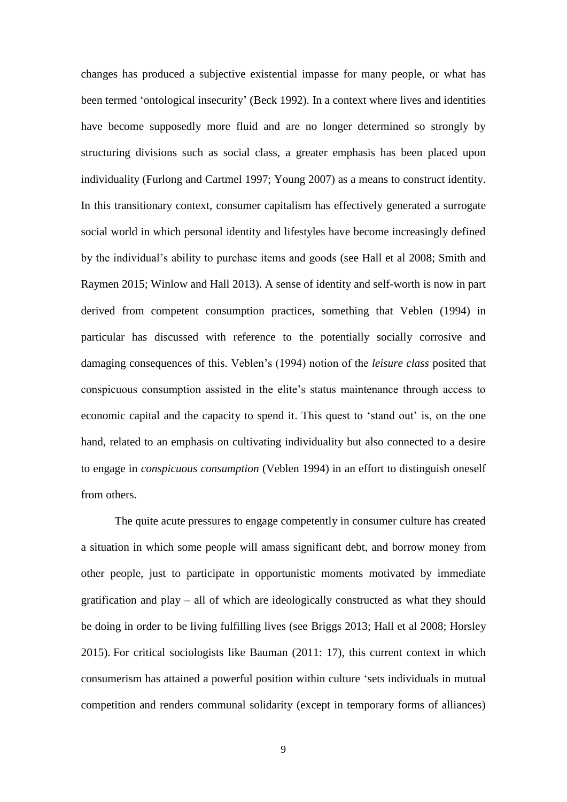changes has produced a subjective existential impasse for many people, or what has been termed 'ontological insecurity' (Beck 1992). In a context where lives and identities have become supposedly more fluid and are no longer determined so strongly by structuring divisions such as social class, a greater emphasis has been placed upon individuality (Furlong and Cartmel 1997; Young 2007) as a means to construct identity. In this transitionary context, consumer capitalism has effectively generated a surrogate social world in which personal identity and lifestyles have become increasingly defined by the individual's ability to purchase items and goods (see Hall et al 2008; Smith and Raymen 2015; Winlow and Hall 2013). A sense of identity and self-worth is now in part derived from competent consumption practices, something that Veblen (1994) in particular has discussed with reference to the potentially socially corrosive and damaging consequences of this. Veblen's (1994) notion of the *leisure class* posited that conspicuous consumption assisted in the elite's status maintenance through access to economic capital and the capacity to spend it. This quest to 'stand out' is, on the one hand, related to an emphasis on cultivating individuality but also connected to a desire to engage in *conspicuous consumption* (Veblen 1994) in an effort to distinguish oneself from others.

The quite acute pressures to engage competently in consumer culture has created a situation in which some people will amass significant debt, and borrow money from other people, just to participate in opportunistic moments motivated by immediate gratification and play – all of which are ideologically constructed as what they should be doing in order to be living fulfilling lives (see Briggs 2013; Hall et al 2008; Horsley 2015). For critical sociologists like Bauman (2011: 17), this current context in which consumerism has attained a powerful position within culture 'sets individuals in mutual competition and renders communal solidarity (except in temporary forms of alliances)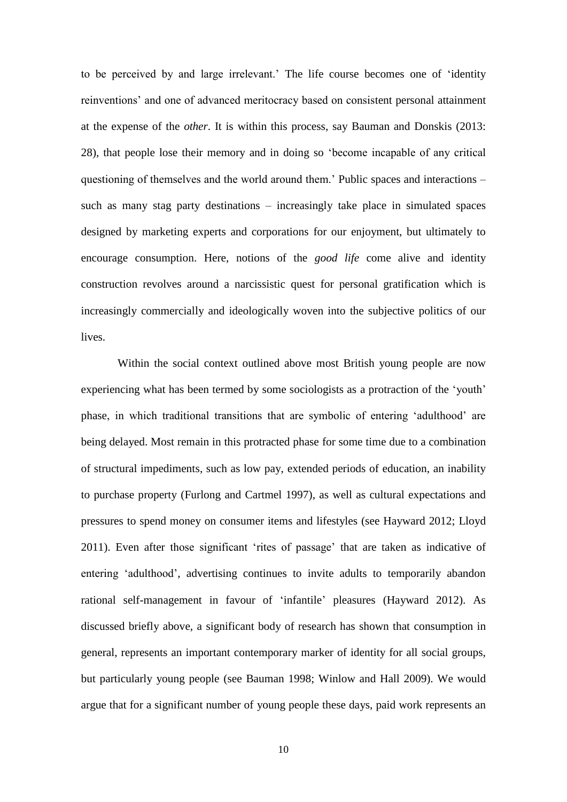to be perceived by and large irrelevant.' The life course becomes one of 'identity reinventions' and one of advanced meritocracy based on consistent personal attainment at the expense of the *other*. It is within this process, say Bauman and Donskis (2013: 28), that people lose their memory and in doing so 'become incapable of any critical questioning of themselves and the world around them.' Public spaces and interactions – such as many stag party destinations – increasingly take place in simulated spaces designed by marketing experts and corporations for our enjoyment, but ultimately to encourage consumption. Here, notions of the *good life* come alive and identity construction revolves around a narcissistic quest for personal gratification which is increasingly commercially and ideologically woven into the subjective politics of our lives.

Within the social context outlined above most British young people are now experiencing what has been termed by some sociologists as a protraction of the 'youth' phase, in which traditional transitions that are symbolic of entering 'adulthood' are being delayed. Most remain in this protracted phase for some time due to a combination of structural impediments, such as low pay, extended periods of education, an inability to purchase property (Furlong and Cartmel 1997), as well as cultural expectations and pressures to spend money on consumer items and lifestyles (see Hayward 2012; Lloyd 2011). Even after those significant 'rites of passage' that are taken as indicative of entering 'adulthood', advertising continues to invite adults to temporarily abandon rational self-management in favour of 'infantile' pleasures (Hayward 2012). As discussed briefly above, a significant body of research has shown that consumption in general, represents an important contemporary marker of identity for all social groups, but particularly young people (see Bauman 1998; Winlow and Hall 2009). We would argue that for a significant number of young people these days, paid work represents an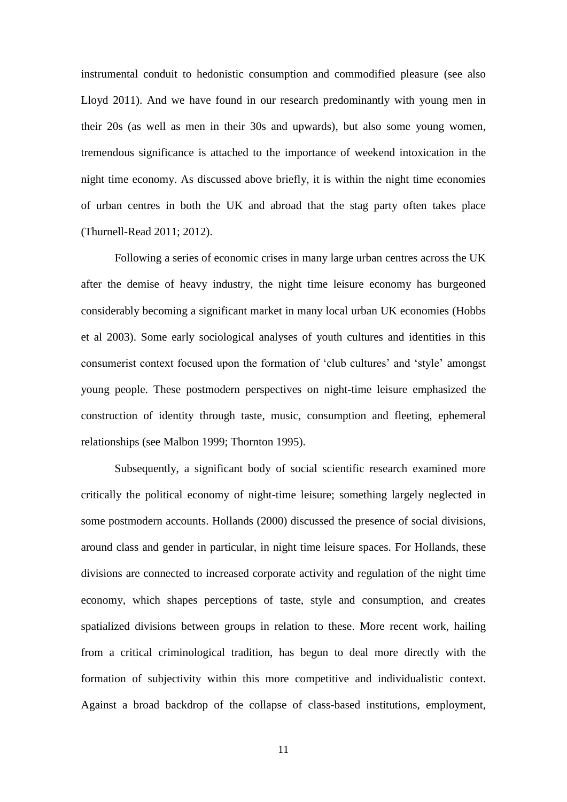instrumental conduit to hedonistic consumption and commodified pleasure (see also Lloyd 2011). And we have found in our research predominantly with young men in their 20s (as well as men in their 30s and upwards), but also some young women, tremendous significance is attached to the importance of weekend intoxication in the night time economy. As discussed above briefly, it is within the night time economies of urban centres in both the UK and abroad that the stag party often takes place (Thurnell-Read 2011; 2012).

Following a series of economic crises in many large urban centres across the UK after the demise of heavy industry, the night time leisure economy has burgeoned considerably becoming a significant market in many local urban UK economies (Hobbs et al 2003). Some early sociological analyses of youth cultures and identities in this consumerist context focused upon the formation of 'club cultures' and 'style' amongst young people. These postmodern perspectives on night-time leisure emphasized the construction of identity through taste, music, consumption and fleeting, ephemeral relationships (see Malbon 1999; Thornton 1995).

Subsequently, a significant body of social scientific research examined more critically the political economy of night-time leisure; something largely neglected in some postmodern accounts. Hollands (2000) discussed the presence of social divisions, around class and gender in particular, in night time leisure spaces. For Hollands, these divisions are connected to increased corporate activity and regulation of the night time economy, which shapes perceptions of taste, style and consumption, and creates spatialized divisions between groups in relation to these. More recent work, hailing from a critical criminological tradition, has begun to deal more directly with the formation of subjectivity within this more competitive and individualistic context. Against a broad backdrop of the collapse of class-based institutions, employment,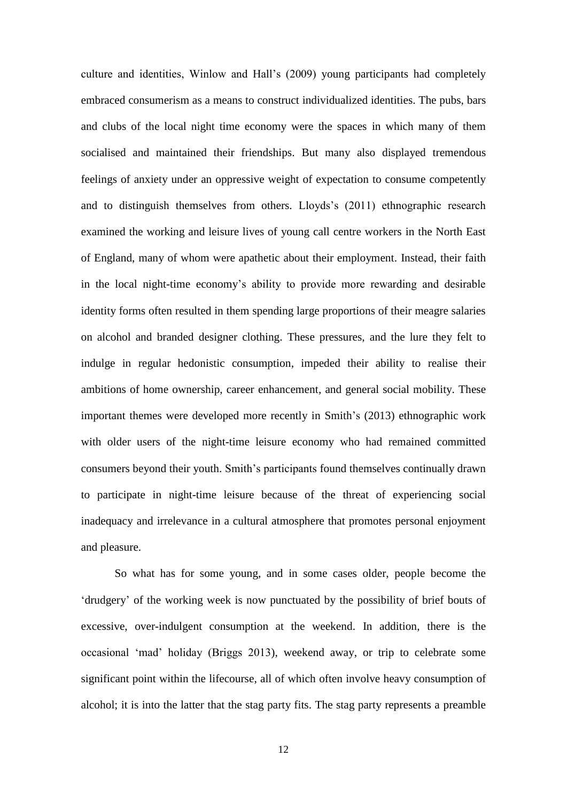culture and identities, Winlow and Hall's (2009) young participants had completely embraced consumerism as a means to construct individualized identities. The pubs, bars and clubs of the local night time economy were the spaces in which many of them socialised and maintained their friendships. But many also displayed tremendous feelings of anxiety under an oppressive weight of expectation to consume competently and to distinguish themselves from others. Lloyds's (2011) ethnographic research examined the working and leisure lives of young call centre workers in the North East of England, many of whom were apathetic about their employment. Instead, their faith in the local night-time economy's ability to provide more rewarding and desirable identity forms often resulted in them spending large proportions of their meagre salaries on alcohol and branded designer clothing. These pressures, and the lure they felt to indulge in regular hedonistic consumption, impeded their ability to realise their ambitions of home ownership, career enhancement, and general social mobility. These important themes were developed more recently in Smith's (2013) ethnographic work with older users of the night-time leisure economy who had remained committed consumers beyond their youth. Smith's participants found themselves continually drawn to participate in night-time leisure because of the threat of experiencing social inadequacy and irrelevance in a cultural atmosphere that promotes personal enjoyment and pleasure.

So what has for some young, and in some cases older, people become the 'drudgery' of the working week is now punctuated by the possibility of brief bouts of excessive, over-indulgent consumption at the weekend. In addition, there is the occasional 'mad' holiday (Briggs 2013), weekend away, or trip to celebrate some significant point within the lifecourse, all of which often involve heavy consumption of alcohol; it is into the latter that the stag party fits. The stag party represents a preamble

12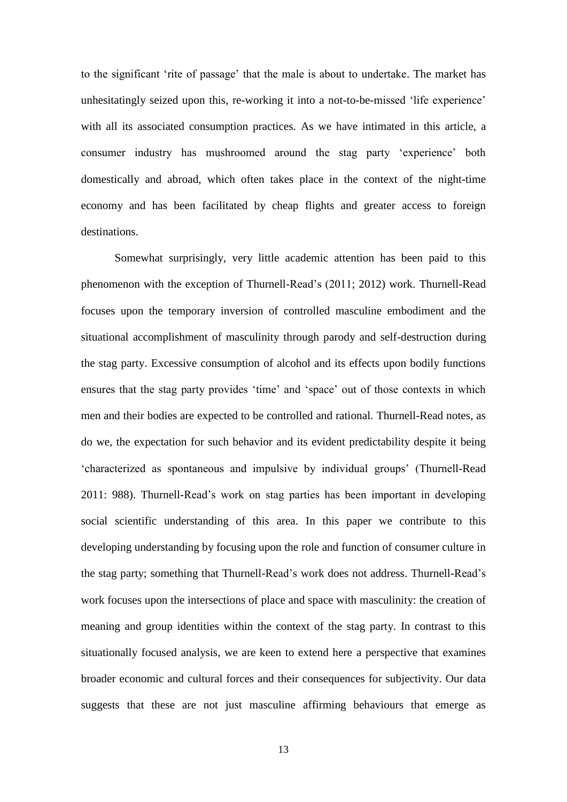to the significant 'rite of passage' that the male is about to undertake. The market has unhesitatingly seized upon this, re-working it into a not-to-be-missed 'life experience' with all its associated consumption practices. As we have intimated in this article, a consumer industry has mushroomed around the stag party 'experience' both domestically and abroad, which often takes place in the context of the night-time economy and has been facilitated by cheap flights and greater access to foreign destinations.

Somewhat surprisingly, very little academic attention has been paid to this phenomenon with the exception of Thurnell-Read's (2011; 2012) work. Thurnell-Read focuses upon the temporary inversion of controlled masculine embodiment and the situational accomplishment of masculinity through parody and self-destruction during the stag party. Excessive consumption of alcohol and its effects upon bodily functions ensures that the stag party provides 'time' and 'space' out of those contexts in which men and their bodies are expected to be controlled and rational. Thurnell-Read notes, as do we, the expectation for such behavior and its evident predictability despite it being 'characterized as spontaneous and impulsive by individual groups' (Thurnell-Read 2011: 988). Thurnell-Read's work on stag parties has been important in developing social scientific understanding of this area. In this paper we contribute to this developing understanding by focusing upon the role and function of consumer culture in the stag party; something that Thurnell-Read's work does not address. Thurnell-Read's work focuses upon the intersections of place and space with masculinity: the creation of meaning and group identities within the context of the stag party. In contrast to this situationally focused analysis, we are keen to extend here a perspective that examines broader economic and cultural forces and their consequences for subjectivity. Our data suggests that these are not just masculine affirming behaviours that emerge as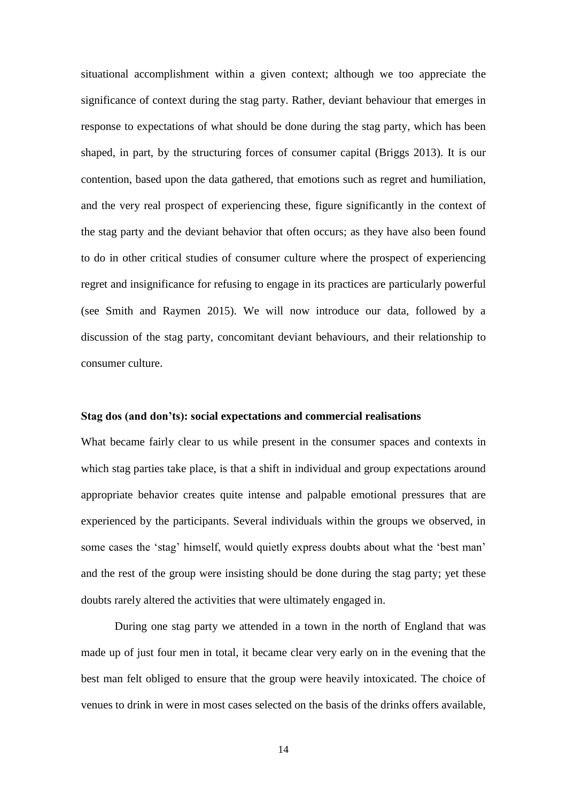situational accomplishment within a given context; although we too appreciate the significance of context during the stag party. Rather, deviant behaviour that emerges in response to expectations of what should be done during the stag party, which has been shaped, in part, by the structuring forces of consumer capital (Briggs 2013). It is our contention, based upon the data gathered, that emotions such as regret and humiliation, and the very real prospect of experiencing these, figure significantly in the context of the stag party and the deviant behavior that often occurs; as they have also been found to do in other critical studies of consumer culture where the prospect of experiencing regret and insignificance for refusing to engage in its practices are particularly powerful (see Smith and Raymen 2015). We will now introduce our data, followed by a discussion of the stag party, concomitant deviant behaviours, and their relationship to consumer culture.

## **Stag dos (and don'ts): social expectations and commercial realisations**

What became fairly clear to us while present in the consumer spaces and contexts in which stag parties take place, is that a shift in individual and group expectations around appropriate behavior creates quite intense and palpable emotional pressures that are experienced by the participants. Several individuals within the groups we observed, in some cases the 'stag' himself, would quietly express doubts about what the 'best man' and the rest of the group were insisting should be done during the stag party; yet these doubts rarely altered the activities that were ultimately engaged in.

During one stag party we attended in a town in the north of England that was made up of just four men in total, it became clear very early on in the evening that the best man felt obliged to ensure that the group were heavily intoxicated. The choice of venues to drink in were in most cases selected on the basis of the drinks offers available,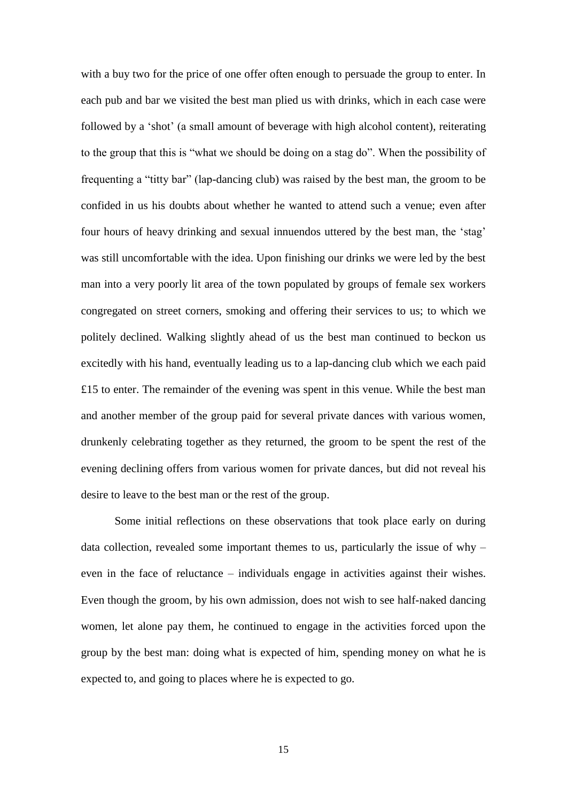with a buy two for the price of one offer often enough to persuade the group to enter. In each pub and bar we visited the best man plied us with drinks, which in each case were followed by a 'shot' (a small amount of beverage with high alcohol content), reiterating to the group that this is "what we should be doing on a stag do". When the possibility of frequenting a "titty bar" (lap-dancing club) was raised by the best man, the groom to be confided in us his doubts about whether he wanted to attend such a venue; even after four hours of heavy drinking and sexual innuendos uttered by the best man, the 'stag' was still uncomfortable with the idea. Upon finishing our drinks we were led by the best man into a very poorly lit area of the town populated by groups of female sex workers congregated on street corners, smoking and offering their services to us; to which we politely declined. Walking slightly ahead of us the best man continued to beckon us excitedly with his hand, eventually leading us to a lap-dancing club which we each paid £15 to enter. The remainder of the evening was spent in this venue. While the best man and another member of the group paid for several private dances with various women, drunkenly celebrating together as they returned, the groom to be spent the rest of the evening declining offers from various women for private dances, but did not reveal his desire to leave to the best man or the rest of the group.

Some initial reflections on these observations that took place early on during data collection, revealed some important themes to us, particularly the issue of why – even in the face of reluctance – individuals engage in activities against their wishes. Even though the groom, by his own admission, does not wish to see half-naked dancing women, let alone pay them, he continued to engage in the activities forced upon the group by the best man: doing what is expected of him, spending money on what he is expected to, and going to places where he is expected to go.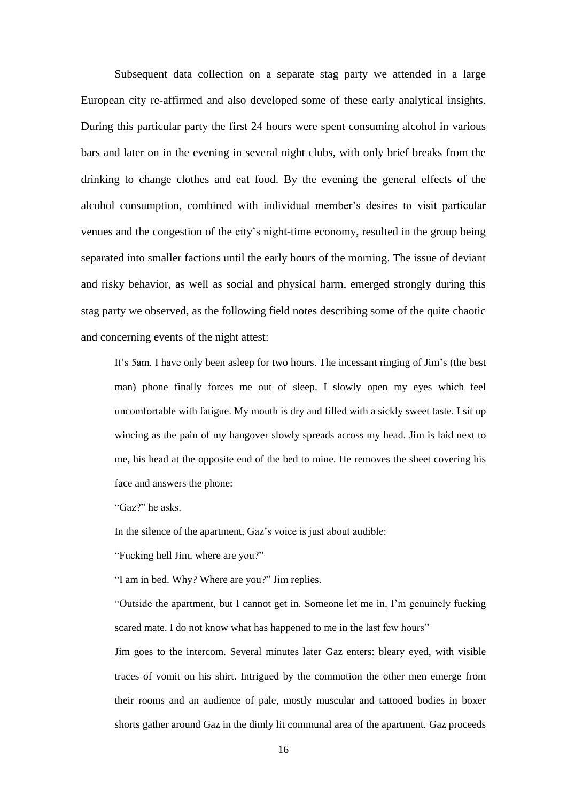Subsequent data collection on a separate stag party we attended in a large European city re-affirmed and also developed some of these early analytical insights. During this particular party the first 24 hours were spent consuming alcohol in various bars and later on in the evening in several night clubs, with only brief breaks from the drinking to change clothes and eat food. By the evening the general effects of the alcohol consumption, combined with individual member's desires to visit particular venues and the congestion of the city's night-time economy, resulted in the group being separated into smaller factions until the early hours of the morning. The issue of deviant and risky behavior, as well as social and physical harm, emerged strongly during this stag party we observed, as the following field notes describing some of the quite chaotic and concerning events of the night attest:

It's 5am. I have only been asleep for two hours. The incessant ringing of Jim's (the best man) phone finally forces me out of sleep. I slowly open my eyes which feel uncomfortable with fatigue. My mouth is dry and filled with a sickly sweet taste. I sit up wincing as the pain of my hangover slowly spreads across my head. Jim is laid next to me, his head at the opposite end of the bed to mine. He removes the sheet covering his face and answers the phone:

"Gaz?" he asks.

In the silence of the apartment, Gaz's voice is just about audible:

"Fucking hell Jim, where are you?"

"I am in bed. Why? Where are you?" Jim replies.

"Outside the apartment, but I cannot get in. Someone let me in, I'm genuinely fucking scared mate. I do not know what has happened to me in the last few hours"

Jim goes to the intercom. Several minutes later Gaz enters: bleary eyed, with visible traces of vomit on his shirt. Intrigued by the commotion the other men emerge from their rooms and an audience of pale, mostly muscular and tattooed bodies in boxer shorts gather around Gaz in the dimly lit communal area of the apartment. Gaz proceeds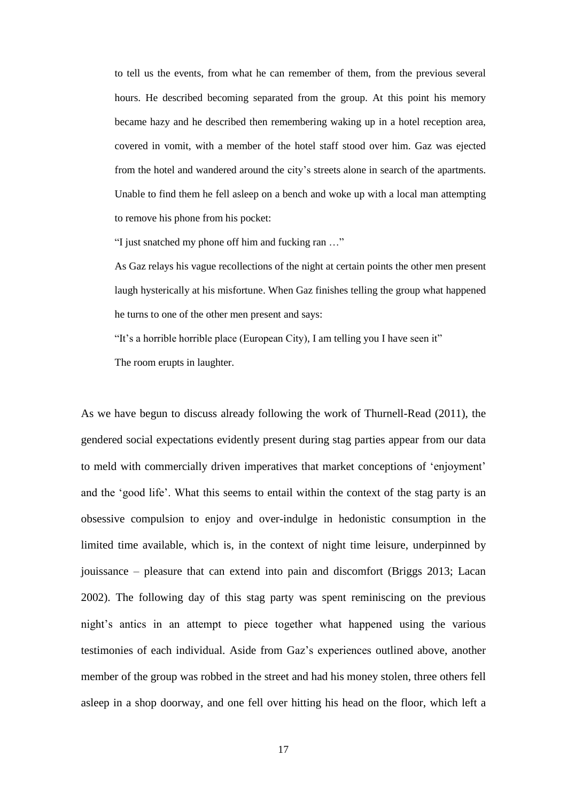to tell us the events, from what he can remember of them, from the previous several hours. He described becoming separated from the group. At this point his memory became hazy and he described then remembering waking up in a hotel reception area, covered in vomit, with a member of the hotel staff stood over him. Gaz was ejected from the hotel and wandered around the city's streets alone in search of the apartments. Unable to find them he fell asleep on a bench and woke up with a local man attempting to remove his phone from his pocket:

"I just snatched my phone off him and fucking ran …"

As Gaz relays his vague recollections of the night at certain points the other men present laugh hysterically at his misfortune. When Gaz finishes telling the group what happened he turns to one of the other men present and says:

"It's a horrible horrible place (European City), I am telling you I have seen it" The room erupts in laughter.

As we have begun to discuss already following the work of Thurnell-Read (2011), the gendered social expectations evidently present during stag parties appear from our data to meld with commercially driven imperatives that market conceptions of 'enjoyment' and the 'good life'. What this seems to entail within the context of the stag party is an obsessive compulsion to enjoy and over-indulge in hedonistic consumption in the limited time available, which is, in the context of night time leisure, underpinned by jouissance – pleasure that can extend into pain and discomfort (Briggs 2013; Lacan 2002). The following day of this stag party was spent reminiscing on the previous night's antics in an attempt to piece together what happened using the various testimonies of each individual. Aside from Gaz's experiences outlined above, another member of the group was robbed in the street and had his money stolen, three others fell asleep in a shop doorway, and one fell over hitting his head on the floor, which left a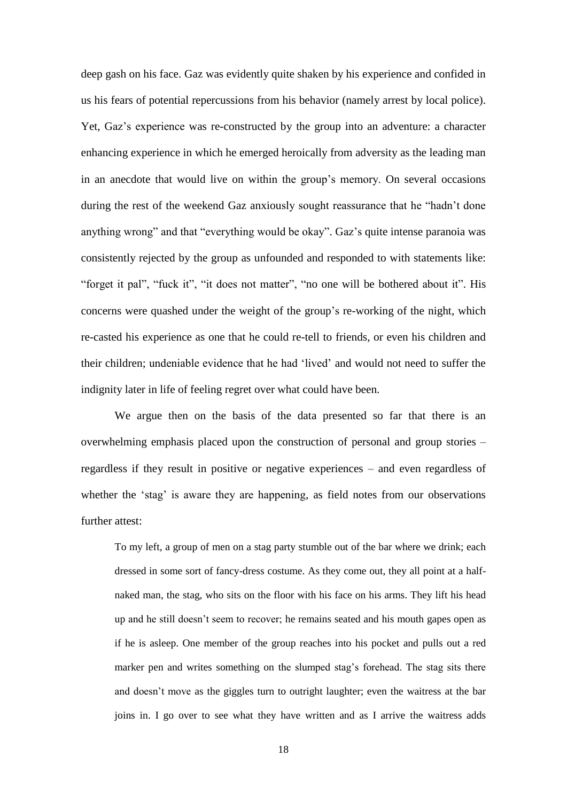deep gash on his face. Gaz was evidently quite shaken by his experience and confided in us his fears of potential repercussions from his behavior (namely arrest by local police). Yet, Gaz's experience was re-constructed by the group into an adventure: a character enhancing experience in which he emerged heroically from adversity as the leading man in an anecdote that would live on within the group's memory. On several occasions during the rest of the weekend Gaz anxiously sought reassurance that he "hadn't done anything wrong" and that "everything would be okay". Gaz's quite intense paranoia was consistently rejected by the group as unfounded and responded to with statements like: "forget it pal", "fuck it", "it does not matter", "no one will be bothered about it". His concerns were quashed under the weight of the group's re-working of the night, which re-casted his experience as one that he could re-tell to friends, or even his children and their children; undeniable evidence that he had 'lived' and would not need to suffer the indignity later in life of feeling regret over what could have been.

We argue then on the basis of the data presented so far that there is an overwhelming emphasis placed upon the construction of personal and group stories – regardless if they result in positive or negative experiences – and even regardless of whether the 'stag' is aware they are happening, as field notes from our observations further attest:

To my left, a group of men on a stag party stumble out of the bar where we drink; each dressed in some sort of fancy-dress costume. As they come out, they all point at a halfnaked man, the stag, who sits on the floor with his face on his arms. They lift his head up and he still doesn't seem to recover; he remains seated and his mouth gapes open as if he is asleep. One member of the group reaches into his pocket and pulls out a red marker pen and writes something on the slumped stag's forehead. The stag sits there and doesn't move as the giggles turn to outright laughter; even the waitress at the bar joins in. I go over to see what they have written and as I arrive the waitress adds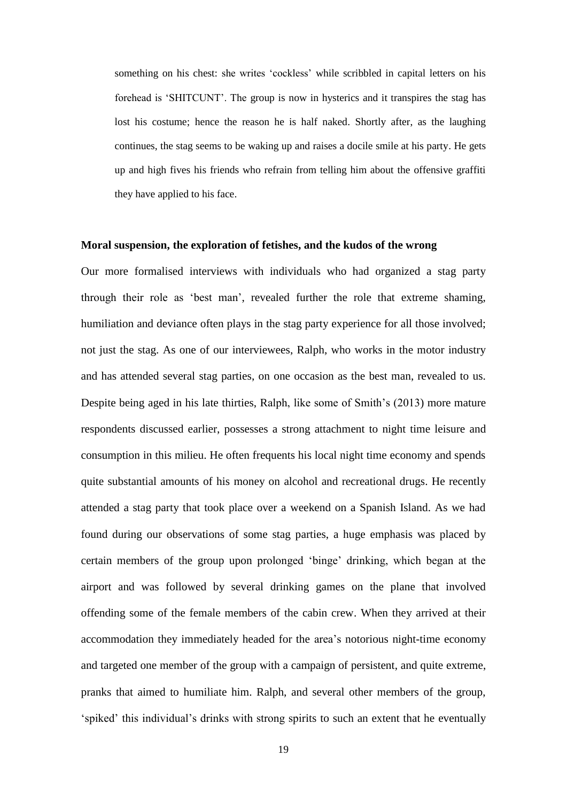something on his chest: she writes 'cockless' while scribbled in capital letters on his forehead is 'SHITCUNT'. The group is now in hysterics and it transpires the stag has lost his costume; hence the reason he is half naked. Shortly after, as the laughing continues, the stag seems to be waking up and raises a docile smile at his party. He gets up and high fives his friends who refrain from telling him about the offensive graffiti they have applied to his face.

# **Moral suspension, the exploration of fetishes, and the kudos of the wrong**

Our more formalised interviews with individuals who had organized a stag party through their role as 'best man', revealed further the role that extreme shaming, humiliation and deviance often plays in the stag party experience for all those involved; not just the stag. As one of our interviewees, Ralph, who works in the motor industry and has attended several stag parties, on one occasion as the best man, revealed to us. Despite being aged in his late thirties, Ralph, like some of Smith's (2013) more mature respondents discussed earlier, possesses a strong attachment to night time leisure and consumption in this milieu. He often frequents his local night time economy and spends quite substantial amounts of his money on alcohol and recreational drugs. He recently attended a stag party that took place over a weekend on a Spanish Island. As we had found during our observations of some stag parties, a huge emphasis was placed by certain members of the group upon prolonged 'binge' drinking, which began at the airport and was followed by several drinking games on the plane that involved offending some of the female members of the cabin crew. When they arrived at their accommodation they immediately headed for the area's notorious night-time economy and targeted one member of the group with a campaign of persistent, and quite extreme, pranks that aimed to humiliate him. Ralph, and several other members of the group, 'spiked' this individual's drinks with strong spirits to such an extent that he eventually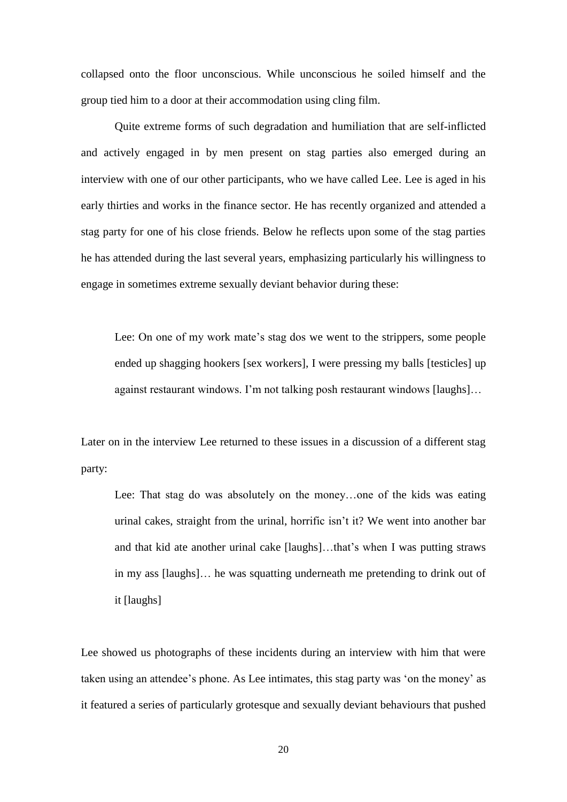collapsed onto the floor unconscious. While unconscious he soiled himself and the group tied him to a door at their accommodation using cling film.

Quite extreme forms of such degradation and humiliation that are self-inflicted and actively engaged in by men present on stag parties also emerged during an interview with one of our other participants, who we have called Lee. Lee is aged in his early thirties and works in the finance sector. He has recently organized and attended a stag party for one of his close friends. Below he reflects upon some of the stag parties he has attended during the last several years, emphasizing particularly his willingness to engage in sometimes extreme sexually deviant behavior during these:

Lee: On one of my work mate's stag dos we went to the strippers, some people ended up shagging hookers [sex workers], I were pressing my balls [testicles] up against restaurant windows. I'm not talking posh restaurant windows [laughs]…

Later on in the interview Lee returned to these issues in a discussion of a different stag party:

Lee: That stag do was absolutely on the money…one of the kids was eating urinal cakes, straight from the urinal, horrific isn't it? We went into another bar and that kid ate another urinal cake [laughs]…that's when I was putting straws in my ass [laughs]… he was squatting underneath me pretending to drink out of it [laughs]

Lee showed us photographs of these incidents during an interview with him that were taken using an attendee's phone. As Lee intimates, this stag party was 'on the money' as it featured a series of particularly grotesque and sexually deviant behaviours that pushed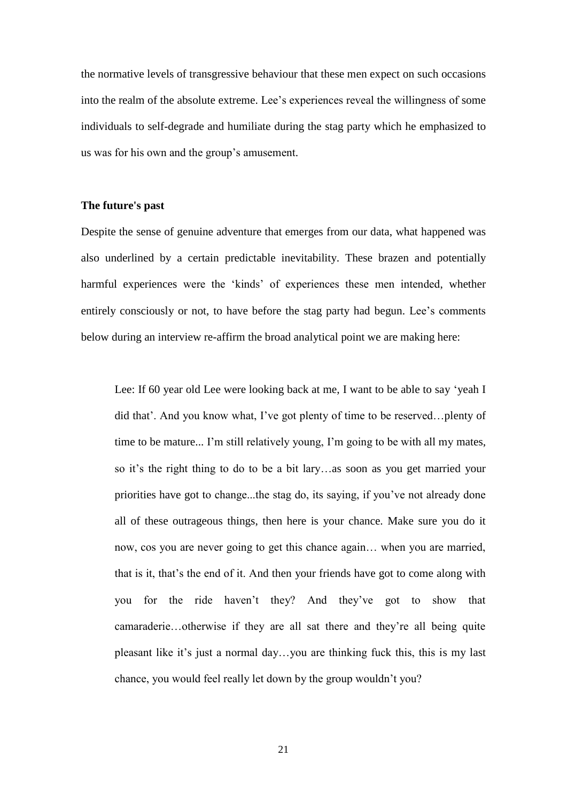the normative levels of transgressive behaviour that these men expect on such occasions into the realm of the absolute extreme. Lee's experiences reveal the willingness of some individuals to self-degrade and humiliate during the stag party which he emphasized to us was for his own and the group's amusement.

## **The future's past**

Despite the sense of genuine adventure that emerges from our data, what happened was also underlined by a certain predictable inevitability. These brazen and potentially harmful experiences were the 'kinds' of experiences these men intended, whether entirely consciously or not, to have before the stag party had begun. Lee's comments below during an interview re-affirm the broad analytical point we are making here:

Lee: If 60 year old Lee were looking back at me, I want to be able to say 'yeah I did that'. And you know what, I've got plenty of time to be reserved…plenty of time to be mature... I'm still relatively young, I'm going to be with all my mates, so it's the right thing to do to be a bit lary…as soon as you get married your priorities have got to change...the stag do, its saying, if you've not already done all of these outrageous things, then here is your chance. Make sure you do it now, cos you are never going to get this chance again… when you are married, that is it, that's the end of it. And then your friends have got to come along with you for the ride haven't they? And they've got to show that camaraderie…otherwise if they are all sat there and they're all being quite pleasant like it's just a normal day…you are thinking fuck this, this is my last chance, you would feel really let down by the group wouldn't you?

21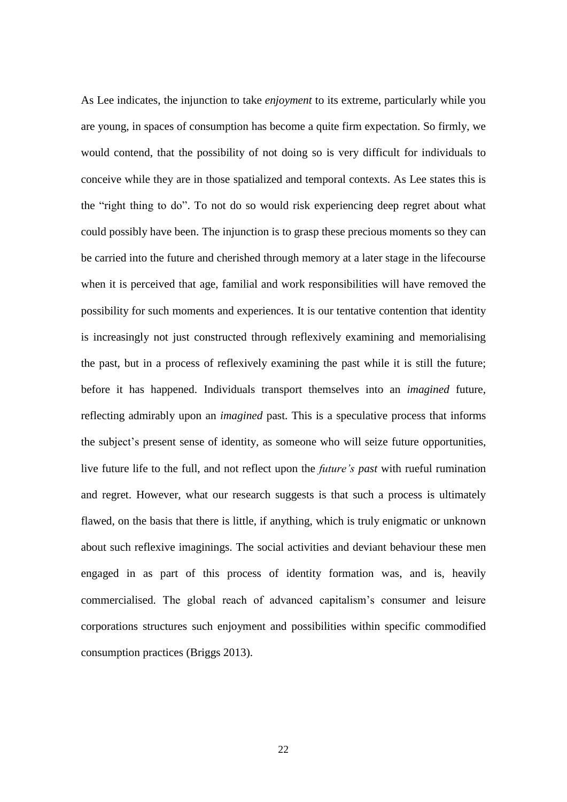As Lee indicates, the injunction to take *enjoyment* to its extreme, particularly while you are young, in spaces of consumption has become a quite firm expectation. So firmly, we would contend, that the possibility of not doing so is very difficult for individuals to conceive while they are in those spatialized and temporal contexts. As Lee states this is the "right thing to do". To not do so would risk experiencing deep regret about what could possibly have been. The injunction is to grasp these precious moments so they can be carried into the future and cherished through memory at a later stage in the lifecourse when it is perceived that age, familial and work responsibilities will have removed the possibility for such moments and experiences. It is our tentative contention that identity is increasingly not just constructed through reflexively examining and memorialising the past, but in a process of reflexively examining the past while it is still the future; before it has happened. Individuals transport themselves into an *imagined* future, reflecting admirably upon an *imagined* past. This is a speculative process that informs the subject's present sense of identity, as someone who will seize future opportunities, live future life to the full, and not reflect upon the *future's past* with rueful rumination and regret. However, what our research suggests is that such a process is ultimately flawed, on the basis that there is little, if anything, which is truly enigmatic or unknown about such reflexive imaginings. The social activities and deviant behaviour these men engaged in as part of this process of identity formation was, and is, heavily commercialised. The global reach of advanced capitalism's consumer and leisure corporations structures such enjoyment and possibilities within specific commodified consumption practices (Briggs 2013).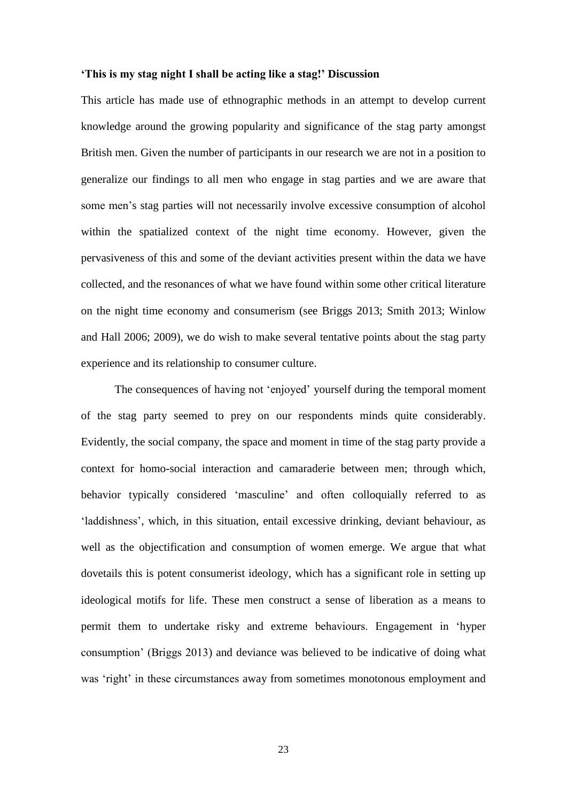## **'This is my stag night I shall be acting like a stag!' Discussion**

This article has made use of ethnographic methods in an attempt to develop current knowledge around the growing popularity and significance of the stag party amongst British men. Given the number of participants in our research we are not in a position to generalize our findings to all men who engage in stag parties and we are aware that some men's stag parties will not necessarily involve excessive consumption of alcohol within the spatialized context of the night time economy. However, given the pervasiveness of this and some of the deviant activities present within the data we have collected, and the resonances of what we have found within some other critical literature on the night time economy and consumerism (see Briggs 2013; Smith 2013; Winlow and Hall 2006; 2009), we do wish to make several tentative points about the stag party experience and its relationship to consumer culture.

The consequences of having not 'enjoyed' yourself during the temporal moment of the stag party seemed to prey on our respondents minds quite considerably. Evidently, the social company, the space and moment in time of the stag party provide a context for homo-social interaction and camaraderie between men; through which, behavior typically considered 'masculine' and often colloquially referred to as 'laddishness', which, in this situation, entail excessive drinking, deviant behaviour, as well as the objectification and consumption of women emerge. We argue that what dovetails this is potent consumerist ideology, which has a significant role in setting up ideological motifs for life. These men construct a sense of liberation as a means to permit them to undertake risky and extreme behaviours. Engagement in 'hyper consumption' (Briggs 2013) and deviance was believed to be indicative of doing what was 'right' in these circumstances away from sometimes monotonous employment and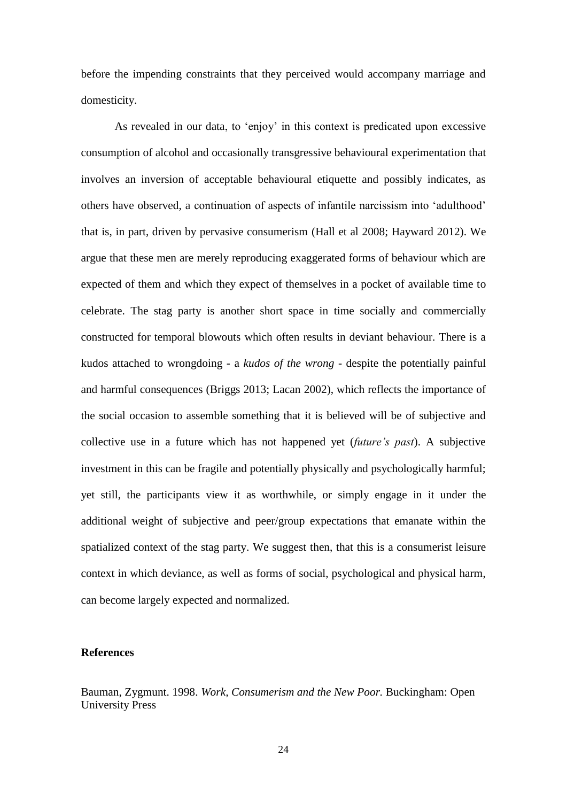before the impending constraints that they perceived would accompany marriage and domesticity.

As revealed in our data, to 'enjoy' in this context is predicated upon excessive consumption of alcohol and occasionally transgressive behavioural experimentation that involves an inversion of acceptable behavioural etiquette and possibly indicates, as others have observed, a continuation of aspects of infantile narcissism into 'adulthood' that is, in part, driven by pervasive consumerism (Hall et al 2008; Hayward 2012). We argue that these men are merely reproducing exaggerated forms of behaviour which are expected of them and which they expect of themselves in a pocket of available time to celebrate. The stag party is another short space in time socially and commercially constructed for temporal blowouts which often results in deviant behaviour. There is a kudos attached to wrongdoing - a *kudos of the wrong* - despite the potentially painful and harmful consequences (Briggs 2013; Lacan 2002), which reflects the importance of the social occasion to assemble something that it is believed will be of subjective and collective use in a future which has not happened yet (*future's past*). A subjective investment in this can be fragile and potentially physically and psychologically harmful; yet still, the participants view it as worthwhile, or simply engage in it under the additional weight of subjective and peer/group expectations that emanate within the spatialized context of the stag party. We suggest then, that this is a consumerist leisure context in which deviance, as well as forms of social, psychological and physical harm, can become largely expected and normalized.

## **References**

Bauman, Zygmunt. 1998. *Work, Consumerism and the New Poor.* Buckingham: Open University Press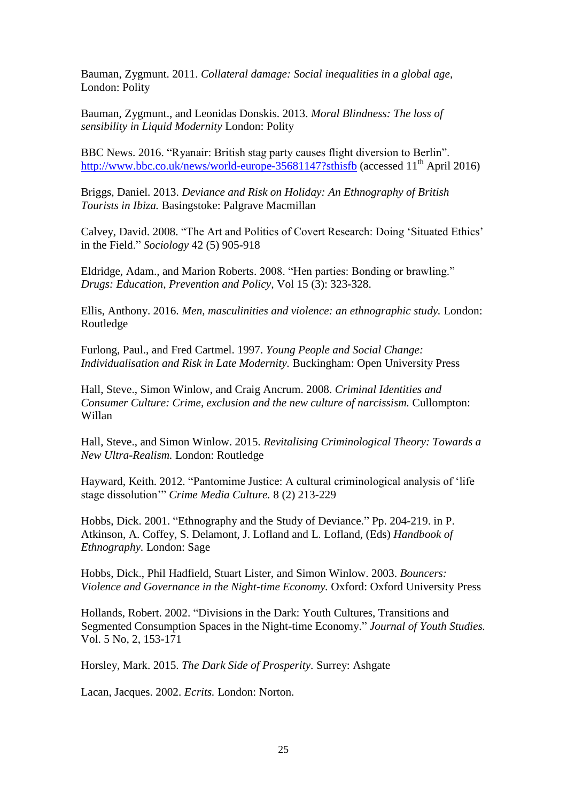Bauman, Zygmunt. 2011. *Collateral damage: Social inequalities in a global age,*  London: Polity

Bauman, Zygmunt., and Leonidas Donskis. 2013. *Moral Blindness: The loss of sensibility in Liquid Modernity* London: Polity

BBC News. 2016. "Ryanair: British stag party causes flight diversion to Berlin". <http://www.bbc.co.uk/news/world-europe-35681147?sthisfb> (accessed 11<sup>th</sup> April 2016)

Briggs, Daniel. 2013. *Deviance and Risk on Holiday: An Ethnography of British Tourists in Ibiza.* Basingstoke: Palgrave Macmillan

Calvey, David. 2008. "The Art and Politics of Covert Research: Doing 'Situated Ethics' in the Field." *Sociology* 42 (5) 905-918

Eldridge, Adam., and Marion Roberts. 2008. "Hen parties: Bonding or brawling." *Drugs: Education, Prevention and Policy,* Vol 15 (3): 323-328.

Ellis, Anthony. 2016. *Men, masculinities and violence: an ethnographic study.* London: Routledge

Furlong, Paul., and Fred Cartmel. 1997. *Young People and Social Change: Individualisation and Risk in Late Modernity.* Buckingham: Open University Press

Hall, Steve., Simon Winlow, and Craig Ancrum. 2008. *Criminal Identities and Consumer Culture: Crime, exclusion and the new culture of narcissism. Cullompton:* Willan

Hall, Steve., and Simon Winlow. 2015. *Revitalising Criminological Theory: Towards a New Ultra-Realism.* London: Routledge

Hayward, Keith. 2012. "Pantomime Justice: A cultural criminological analysis of 'life stage dissolution'" *Crime Media Culture.* 8 (2) 213-229

Hobbs, Dick. 2001. "Ethnography and the Study of Deviance." Pp. 204-219. in P. Atkinson, A. Coffey, S. Delamont, J. Lofland and L. Lofland, (Eds) *Handbook of Ethnography.* London: Sage

Hobbs, Dick., Phil Hadfield, Stuart Lister, and Simon Winlow. 2003. *Bouncers: Violence and Governance in the Night-time Economy.* Oxford: Oxford University Press

Hollands, Robert. 2002. "Divisions in the Dark: Youth Cultures, Transitions and Segmented Consumption Spaces in the Night-time Economy." *Journal of Youth Studies.*  Vol. 5 No, 2, 153-171

Horsley, Mark. 2015. *The Dark Side of Prosperity.* Surrey: Ashgate

Lacan, Jacques. 2002. *Ecrits.* London: Norton.